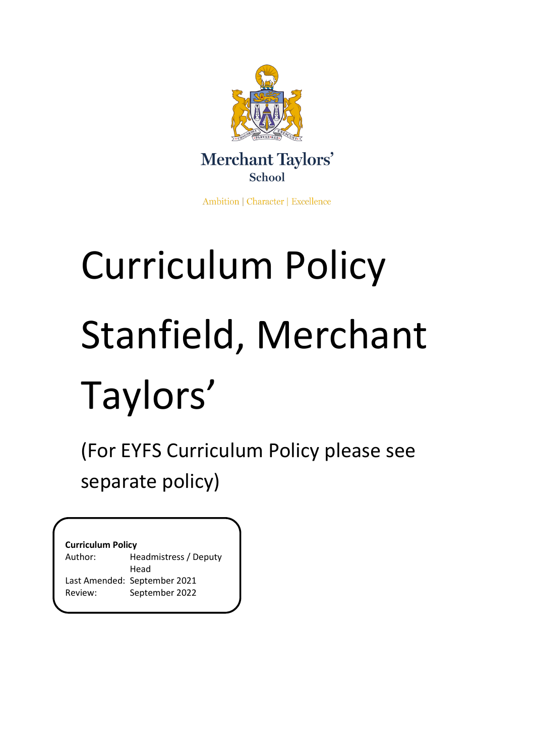

Ambition | Character | Excellence

# Curriculum Policy Stanfield, Merchant Taylors'

(For EYFS Curriculum Policy please see separate policy)

# **Curriculum Policy**

| Headmistress / Deputy        |
|------------------------------|
| Head                         |
| Last Amended: September 2021 |
| September 2022               |
|                              |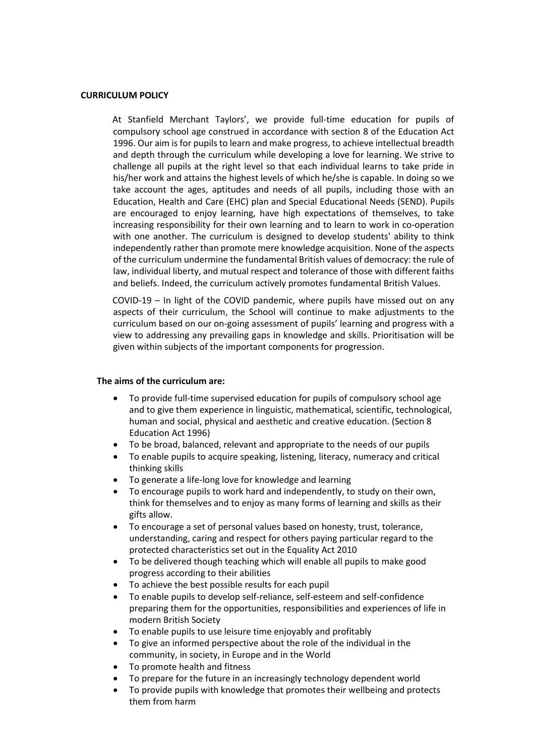#### **CURRICULUM POLICY**

At Stanfield Merchant Taylors', we provide full-time education for pupils of compulsory school age construed in accordance with section 8 of the Education Act 1996. Our aim is for pupils to learn and make progress, to achieve intellectual breadth and depth through the curriculum while developing a love for learning. We strive to challenge all pupils at the right level so that each individual learns to take pride in his/her work and attains the highest levels of which he/she is capable. In doing so we take account the ages, aptitudes and needs of all pupils, including those with an Education, Health and Care (EHC) plan and Special Educational Needs (SEND). Pupils are encouraged to enjoy learning, have high expectations of themselves, to take increasing responsibility for their own learning and to learn to work in co-operation with one another. The curriculum is designed to develop students' ability to think independently rather than promote mere knowledge acquisition. None of the aspects of the curriculum undermine the fundamental British values of democracy: the rule of law, individual liberty, and mutual respect and tolerance of those with different faiths and beliefs. Indeed, the curriculum actively promotes fundamental British Values.

COVID-19 – In light of the COVID pandemic, where pupils have missed out on any aspects of their curriculum, the School will continue to make adjustments to the curriculum based on our on-going assessment of pupils' learning and progress with a view to addressing any prevailing gaps in knowledge and skills. Prioritisation will be given within subjects of the important components for progression.

### **The aims of the curriculum are:**

- To provide full-time supervised education for pupils of compulsory school age and to give them experience in linguistic, mathematical, scientific, technological, human and social, physical and aesthetic and creative education. (Section 8 Education Act 1996)
- To be broad, balanced, relevant and appropriate to the needs of our pupils
- To enable pupils to acquire speaking, listening, literacy, numeracy and critical thinking skills
- To generate a life-long love for knowledge and learning
- To encourage pupils to work hard and independently, to study on their own, think for themselves and to enjoy as many forms of learning and skills as their gifts allow.
- To encourage a set of personal values based on honesty, trust, tolerance, understanding, caring and respect for others paying particular regard to the protected characteristics set out in the Equality Act 2010
- To be delivered though teaching which will enable all pupils to make good progress according to their abilities
- To achieve the best possible results for each pupil
- To enable pupils to develop self-reliance, self-esteem and self-confidence preparing them for the opportunities, responsibilities and experiences of life in modern British Society
- To enable pupils to use leisure time enjoyably and profitably
- To give an informed perspective about the role of the individual in the community, in society, in Europe and in the World
- To promote health and fitness
- To prepare for the future in an increasingly technology dependent world
- To provide pupils with knowledge that promotes their wellbeing and protects them from harm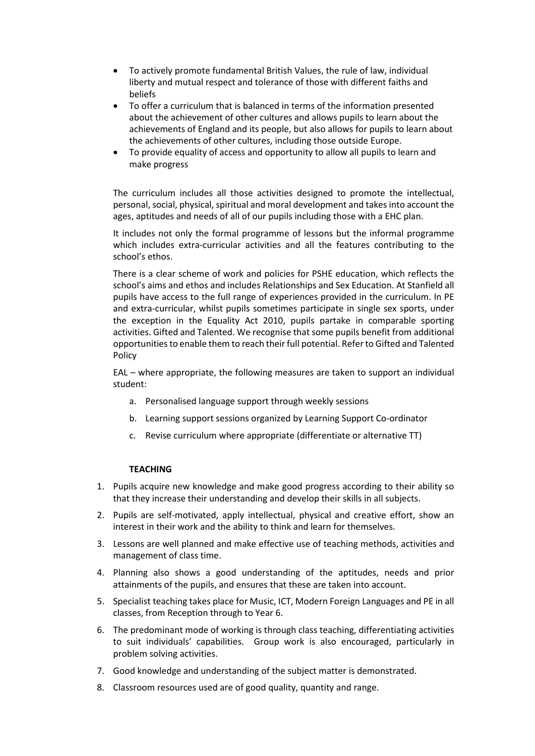- To actively promote fundamental British Values, the rule of law, individual liberty and mutual respect and tolerance of those with different faiths and beliefs
- To offer a curriculum that is balanced in terms of the information presented about the achievement of other cultures and allows pupils to learn about the achievements of England and its people, but also allows for pupils to learn about the achievements of other cultures, including those outside Europe.
- To provide equality of access and opportunity to allow all pupils to learn and make progress

The curriculum includes all those activities designed to promote the intellectual, personal, social, physical, spiritual and moral development and takes into account the ages, aptitudes and needs of all of our pupils including those with a EHC plan.

It includes not only the formal programme of lessons but the informal programme which includes extra-curricular activities and all the features contributing to the school's ethos.

There is a clear scheme of work and policies for PSHE education, which reflects the school's aims and ethos and includes Relationships and Sex Education. At Stanfield all pupils have access to the full range of experiences provided in the curriculum. In PE and extra-curricular, whilst pupils sometimes participate in single sex sports, under the exception in the Equality Act 2010, pupils partake in comparable sporting activities. Gifted and Talented. We recognise that some pupils benefit from additional opportunities to enable them to reach their full potential. Refer to Gifted and Talented Policy

EAL – where appropriate, the following measures are taken to support an individual student:

- a. Personalised language support through weekly sessions
- b. Learning support sessions organized by Learning Support Co-ordinator
- c. Revise curriculum where appropriate (differentiate or alternative TT)

## **TEACHING**

- 1. Pupils acquire new knowledge and make good progress according to their ability so that they increase their understanding and develop their skills in all subjects.
- 2. Pupils are self-motivated, apply intellectual, physical and creative effort, show an interest in their work and the ability to think and learn for themselves.
- 3. Lessons are well planned and make effective use of teaching methods, activities and management of class time.
- 4. Planning also shows a good understanding of the aptitudes, needs and prior attainments of the pupils, and ensures that these are taken into account.
- 5. Specialist teaching takes place for Music, ICT, Modern Foreign Languages and PE in all classes, from Reception through to Year 6.
- 6. The predominant mode of working is through class teaching, differentiating activities to suit individuals' capabilities. Group work is also encouraged, particularly in problem solving activities.
- 7. Good knowledge and understanding of the subject matter is demonstrated.
- 8. Classroom resources used are of good quality, quantity and range.